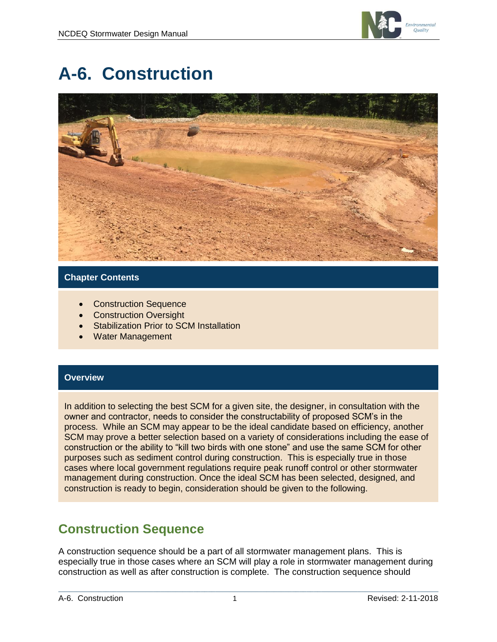

# **A-6. Construction**



### **Chapter Contents**

- Construction Sequence
- **Construction Oversight**
- **Stabilization Prior to SCM Installation**
- Water Management

### **Overview**

In addition to selecting the best SCM for a given site, the designer, in consultation with the owner and contractor, needs to consider the constructability of proposed SCM's in the process. While an SCM may appear to be the ideal candidate based on efficiency, another SCM may prove a better selection based on a variety of considerations including the ease of construction or the ability to "kill two birds with one stone" and use the same SCM for other purposes such as sediment control during construction. This is especially true in those cases where local government regulations require peak runoff control or other stormwater management during construction. Once the ideal SCM has been selected, designed, and construction is ready to begin, consideration should be given to the following.

# **Construction Sequence**

A construction sequence should be a part of all stormwater management plans. This is especially true in those cases where an SCM will play a role in stormwater management during construction as well as after construction is complete. The construction sequence should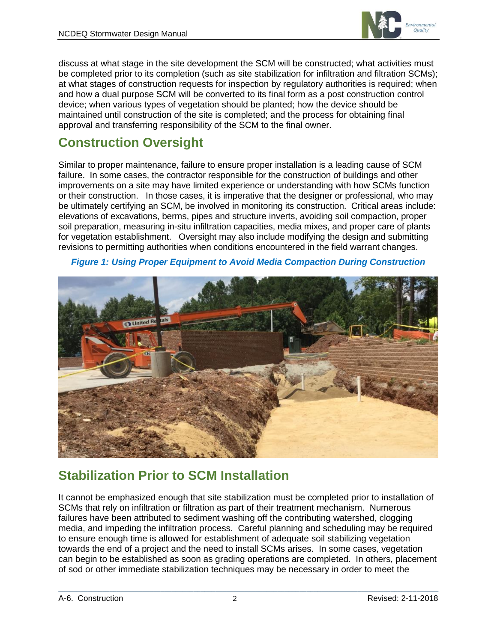

discuss at what stage in the site development the SCM will be constructed; what activities must be completed prior to its completion (such as site stabilization for infiltration and filtration SCMs); at what stages of construction requests for inspection by regulatory authorities is required; when and how a dual purpose SCM will be converted to its final form as a post construction control device; when various types of vegetation should be planted; how the device should be maintained until construction of the site is completed; and the process for obtaining final approval and transferring responsibility of the SCM to the final owner.

# **Construction Oversight**

Similar to proper maintenance, failure to ensure proper installation is a leading cause of SCM failure. In some cases, the contractor responsible for the construction of buildings and other improvements on a site may have limited experience or understanding with how SCMs function or their construction. In those cases, it is imperative that the designer or professional, who may be ultimately certifying an SCM, be involved in monitoring its construction. Critical areas include: elevations of excavations, berms, pipes and structure inverts, avoiding soil compaction, proper soil preparation, measuring in-situ infiltration capacities, media mixes, and proper care of plants for vegetation establishment. Oversight may also include modifying the design and submitting revisions to permitting authorities when conditions encountered in the field warrant changes.

# **J** United Re

### *Figure 1: Using Proper Equipment to Avoid Media Compaction During Construction*

# **Stabilization Prior to SCM Installation**

It cannot be emphasized enough that site stabilization must be completed prior to installation of SCMs that rely on infiltration or filtration as part of their treatment mechanism. Numerous failures have been attributed to sediment washing off the contributing watershed, clogging media, and impeding the infiltration process. Careful planning and scheduling may be required to ensure enough time is allowed for establishment of adequate soil stabilizing vegetation towards the end of a project and the need to install SCMs arises. In some cases, vegetation can begin to be established as soon as grading operations are completed. In others, placement of sod or other immediate stabilization techniques may be necessary in order to meet the